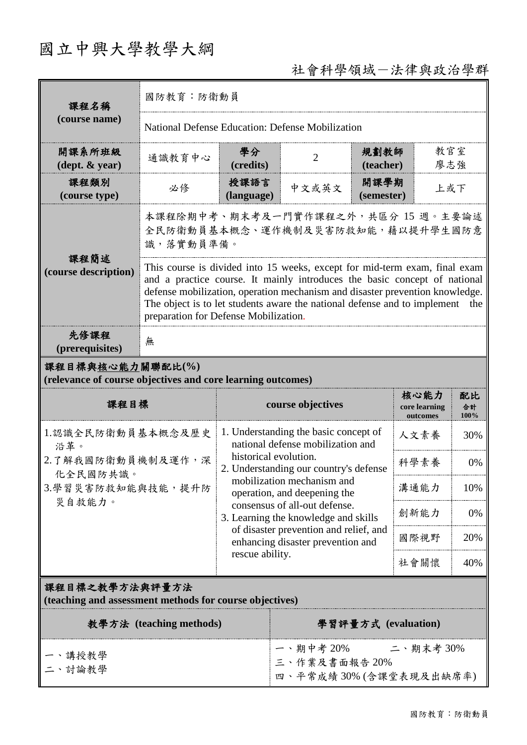# 國立中興大學教學大綱

## 社會科學領域-法律與政治學群

| 課程名稱                                                                            | 國防教育:防衛動員                                                                                                                                                                                                                                                                                                                                                     |                                                                                                                                                                                                                                                                                                          |                                                                            |                                   |                  |     |  |
|---------------------------------------------------------------------------------|---------------------------------------------------------------------------------------------------------------------------------------------------------------------------------------------------------------------------------------------------------------------------------------------------------------------------------------------------------------|----------------------------------------------------------------------------------------------------------------------------------------------------------------------------------------------------------------------------------------------------------------------------------------------------------|----------------------------------------------------------------------------|-----------------------------------|------------------|-----|--|
| (course name)                                                                   | National Defense Education: Defense Mobilization                                                                                                                                                                                                                                                                                                              |                                                                                                                                                                                                                                                                                                          |                                                                            |                                   |                  |     |  |
| 開課系所班級<br>$(\text{dept.} \& \text{ year})$                                      | 通識教育中心                                                                                                                                                                                                                                                                                                                                                        | 學分<br>(credits)                                                                                                                                                                                                                                                                                          | $\overline{2}$                                                             | 教官室<br>規劃教師<br>廖志強<br>(teacher)   |                  |     |  |
| 課程類別<br>(course type)                                                           | 必修                                                                                                                                                                                                                                                                                                                                                            | 授課語言<br>(language)                                                                                                                                                                                                                                                                                       | 中文或英文                                                                      | 開課學期<br>上或下<br>(semester)         |                  |     |  |
|                                                                                 | 本課程除期中考、期末考及一門實作課程之外,共區分 15 週。主要論述<br>全民防衛動員基本概念、運作機制及災害防救知能,藉以提升學生國防意<br>識,落實動員準備。                                                                                                                                                                                                                                                                           |                                                                                                                                                                                                                                                                                                          |                                                                            |                                   |                  |     |  |
| 課程簡述<br>(course description)                                                    | This course is divided into 15 weeks, except for mid-term exam, final exam<br>and a practice course. It mainly introduces the basic concept of national<br>defense mobilization, operation mechanism and disaster prevention knowledge.<br>The object is to let students aware the national defense and to implement<br>preparation for Defense Mobilization. |                                                                                                                                                                                                                                                                                                          |                                                                            |                                   |                  | the |  |
| 先修課程<br>(prerequisites)                                                         | 無                                                                                                                                                                                                                                                                                                                                                             |                                                                                                                                                                                                                                                                                                          |                                                                            |                                   |                  |     |  |
| 課程目標與核心能力關聯配比(%)<br>(relevance of course objectives and core learning outcomes) |                                                                                                                                                                                                                                                                                                                                                               |                                                                                                                                                                                                                                                                                                          |                                                                            |                                   |                  |     |  |
| 課程目標                                                                            |                                                                                                                                                                                                                                                                                                                                                               | course objectives                                                                                                                                                                                                                                                                                        |                                                                            | 核心能力<br>core learning<br>outcomes | 配比<br>合計<br>100% |     |  |
| 沿革。                                                                             | 1.認識全民防衛動員基本概念及歷史                                                                                                                                                                                                                                                                                                                                             |                                                                                                                                                                                                                                                                                                          | 1. Understanding the basic concept of<br>national defense mobilization and |                                   |                  | 30% |  |
| 2.了解我國防衛動員機制及運作,深<br>化全民國防共識。<br>3.學習災害防救知能與技能,提升防<br>災自救能力。                    |                                                                                                                                                                                                                                                                                                                                                               | historical evolution.<br>2. Understanding our country's defense<br>mobilization mechanism and<br>operation, and deepening the<br>consensus of all-out defense.<br>3. Learning the knowledge and skills<br>of disaster prevention and relief, and<br>enhancing disaster prevention and<br>rescue ability. |                                                                            |                                   | 科學素養             | 0%  |  |
|                                                                                 |                                                                                                                                                                                                                                                                                                                                                               |                                                                                                                                                                                                                                                                                                          |                                                                            |                                   | 溝通能力             | 10% |  |
|                                                                                 |                                                                                                                                                                                                                                                                                                                                                               |                                                                                                                                                                                                                                                                                                          |                                                                            |                                   | 創新能力             | 0%  |  |
|                                                                                 |                                                                                                                                                                                                                                                                                                                                                               |                                                                                                                                                                                                                                                                                                          |                                                                            |                                   | 國際視野             | 20% |  |
|                                                                                 |                                                                                                                                                                                                                                                                                                                                                               |                                                                                                                                                                                                                                                                                                          |                                                                            |                                   | 社會關懷             | 40% |  |
| 課程目標之教學方法與評量方法<br>(teaching and assessment methods for course objectives)       |                                                                                                                                                                                                                                                                                                                                                               |                                                                                                                                                                                                                                                                                                          |                                                                            |                                   |                  |     |  |
| 教學方法 (teaching methods)                                                         |                                                                                                                                                                                                                                                                                                                                                               |                                                                                                                                                                                                                                                                                                          | 學習評量方式 (evaluation)                                                        |                                   |                  |     |  |
| 、講授教學<br>二、討論教學                                                                 |                                                                                                                                                                                                                                                                                                                                                               |                                                                                                                                                                                                                                                                                                          | 一、期中考 20%     二、期末考 30%<br>三、作業及書面報告20%<br>四、平常成績30%(含課堂表現及出缺席率)           |                                   |                  |     |  |